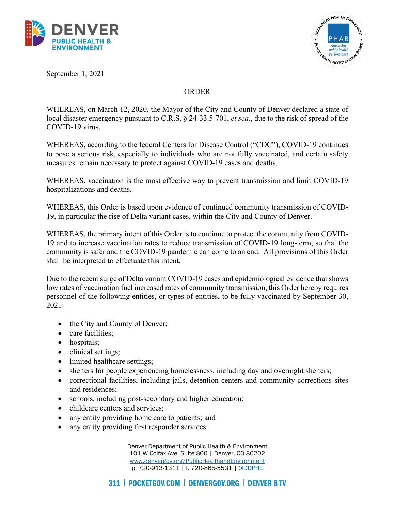



September 1, 2021

## ORDER

WHEREAS, on March 12, 2020, the Mayor of the City and County of Denver declared a state of local disaster emergency pursuant to C.R.S. § 24-33.5-701, *et seq.*, due to the risk of spread of the COVID-19 virus.

WHEREAS, according to the federal Centers for Disease Control ("CDC"), COVID-19 continues to pose a serious risk, especially to individuals who are not fully vaccinated, and certain safety measures remain necessary to protect against COVID-19 cases and deaths.

WHEREAS, vaccination is the most effective way to prevent transmission and limit COVID-19 hospitalizations and deaths.

WHEREAS, this Order is based upon evidence of continued community transmission of COVID-19, in particular the rise of Delta variant cases, within the City and County of Denver.

WHEREAS, the primary intent of this Order is to continue to protect the community from COVID-19 and to increase vaccination rates to reduce transmission of COVID-19 long-term, so that the community is safer and the COVID-19 pandemic can come to an end. All provisions of this Order shall be interpreted to effectuate this intent.

Due to the recent surge of Delta variant COVID-19 cases and epidemiological evidence that shows low rates of vaccination fuel increased rates of community transmission, this Order hereby requires personnel of the following entities, or types of entities, to be fully vaccinated by September 30, 2021:

- the City and County of Denver;
- care facilities;
- hospitals:
- clinical settings;
- limited healthcare settings;
- shelters for people experiencing homelessness, including day and overnight shelters;
- correctional facilities, including jails, detention centers and community corrections sites and residences;
- schools, including post-secondary and higher education;
- childcare centers and services;
- any entity providing home care to patients; and
- any entity providing first responder services.

Denver Department of Public Health & Environment 101 W Colfax Ave, Suite 800 | Denver, CO 80202 [www.denvergov.org/PublicHealthandEnvironment](http://www.denvergov.org/PublicHealthandEnvironment) p. 720-913-1311 | f. 720-865-5531 | [@DDPHE](http://www.twitter.com/DDPHE)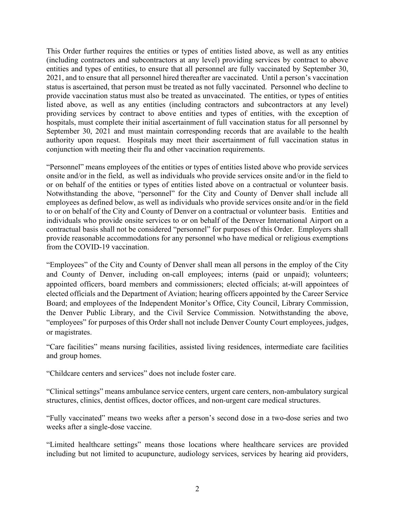This Order further requires the entities or types of entities listed above, as well as any entities (including contractors and subcontractors at any level) providing services by contract to above entities and types of entities, to ensure that all personnel are fully vaccinated by September 30, 2021, and to ensure that all personnel hired thereafter are vaccinated. Until a person's vaccination status is ascertained, that person must be treated as not fully vaccinated. Personnel who decline to provide vaccination status must also be treated as unvaccinated. The entities, or types of entities listed above, as well as any entities (including contractors and subcontractors at any level) providing services by contract to above entities and types of entities, with the exception of hospitals, must complete their initial ascertainment of full vaccination status for all personnel by September 30, 2021 and must maintain corresponding records that are available to the health authority upon request. Hospitals may meet their ascertainment of full vaccination status in conjunction with meeting their flu and other vaccination requirements.

"Personnel" means employees of the entities or types of entities listed above who provide services onsite and/or in the field, as well as individuals who provide services onsite and/or in the field to or on behalf of the entities or types of entities listed above on a contractual or volunteer basis. Notwithstanding the above, "personnel" for the City and County of Denver shall include all employees as defined below, as well as individuals who provide services onsite and/or in the field to or on behalf of the City and County of Denver on a contractual or volunteer basis. Entities and individuals who provide onsite services to or on behalf of the Denver International Airport on a contractual basis shall not be considered "personnel" for purposes of this Order. Employers shall provide reasonable accommodations for any personnel who have medical or religious exemptions from the COVID-19 vaccination.

"Employees" of the City and County of Denver shall mean all persons in the employ of the City and County of Denver, including on-call employees; interns (paid or unpaid); volunteers; appointed officers, board members and commissioners; elected officials; at-will appointees of elected officials and the Department of Aviation; hearing officers appointed by the Career Service Board; and employees of the Independent Monitor's Office, City Council, Library Commission, the Denver Public Library, and the Civil Service Commission. Notwithstanding the above, "employees" for purposes of this Order shall not include Denver County Court employees, judges, or magistrates.

"Care facilities" means nursing facilities, assisted living residences, intermediate care facilities and group homes.

"Childcare centers and services" does not include foster care.

"Clinical settings" means ambulance service centers, urgent care centers, non-ambulatory surgical structures, clinics, dentist offices, doctor offices, and non-urgent care medical structures.

"Fully vaccinated" means two weeks after a person's second dose in a two-dose series and two weeks after a single-dose vaccine.

"Limited healthcare settings" means those locations where healthcare services are provided including but not limited to acupuncture, audiology services, services by hearing aid providers,